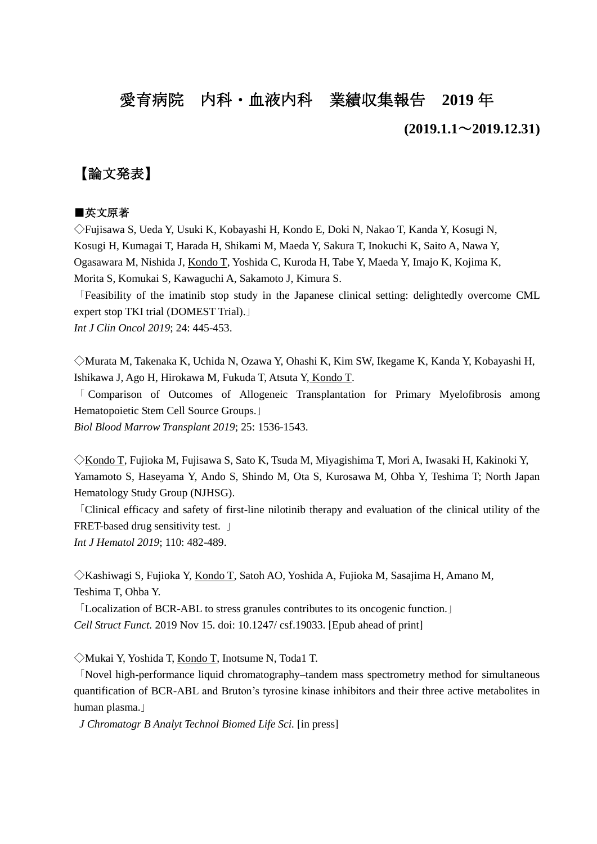# 愛育病院 内科・血液内科 業績収集報告 **2019** 年

# **(2019.1.1**~**2019.12.31)**

# 【論文発表】

#### ■英文原著

◇Fujisawa S, Ueda Y, Usuki K, Kobayashi H, Kondo E, Doki N, Nakao T, Kanda Y, Kosugi N, Kosugi H, Kumagai T, Harada H, Shikami M, Maeda Y, Sakura T, Inokuchi K, Saito A, Nawa Y, Ogasawara M, Nishida J, Kondo T, Yoshida C, Kuroda H, Tabe Y, Maeda Y, Imajo K, Kojima K, Morita S, Komukai S, Kawaguchi A, Sakamoto J, Kimura S.

「Feasibility of the imatinib stop study in the Japanese clinical setting: delightedly overcome CML expert stop TKI trial (DOMEST Trial).」 *Int J Clin Oncol 2019*; 24: 445-453.

◇Murata M, Takenaka K, Uchida N, Ozawa Y, Ohashi K, Kim SW, Ikegame K, Kanda Y, Kobayashi H, Ishikawa J, Ago H, Hirokawa M, Fukuda T, Atsuta Y, Kondo T.

「 Comparison of Outcomes of Allogeneic Transplantation for Primary Myelofibrosis among Hematopoietic Stem Cell Source Groups.」

*Biol Blood Marrow Transplant 2019*; 25: 1536-1543.

◇Kondo T, Fujioka M, Fujisawa S, Sato K, Tsuda M, Miyagishima T, Mori A, Iwasaki H, Kakinoki Y, Yamamoto S, Haseyama Y, Ando S, Shindo M, Ota S, Kurosawa M, Ohba Y, Teshima T; North Japan Hematology Study Group (NJHSG).

「Clinical efficacy and safety of first-line nilotinib therapy and evaluation of the clinical utility of the FRET-based drug sensitivity test. |

*Int J Hematol 2019*; 110: 482-489.

◇Kashiwagi S, Fujioka Y, Kondo T, Satoh AO, Yoshida A, Fujioka M, Sasajima H, Amano M, Teshima T, Ohba Y.

「Localization of BCR-ABL to stress granules contributes to its oncogenic function.」 *Cell Struct Funct.* 2019 Nov 15. doi: 10.1247/ csf.19033. [Epub ahead of print]

◇Mukai Y, Yoshida T, Kondo T, Inotsume N, Toda1 T.

「Novel high-performance liquid chromatography–tandem mass spectrometry method for simultaneous quantification of BCR-ABL and Bruton's tyrosine kinase inhibitors and their three active metabolites in human plasma.」

*J Chromatogr B Analyt Technol Biomed Life Sci.* [in press]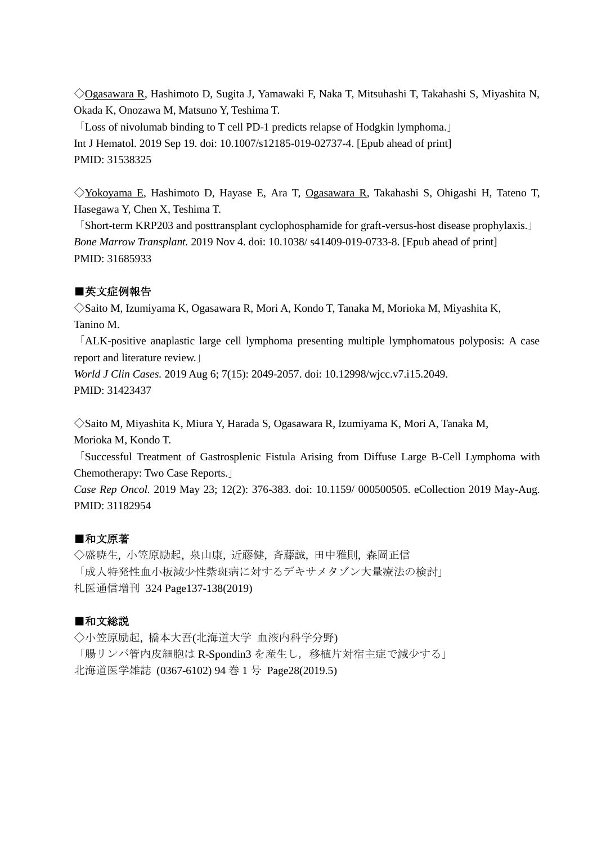◇Ogasawara R, Hashimoto D, Sugita J, Yamawaki F, Naka T, Mitsuhashi T, Takahashi S, Miyashita N, Okada K, Onozawa M, Matsuno Y, Teshima T.

「Loss of nivolumab binding to T cell PD-1 predicts relapse of Hodgkin lymphoma.」 Int J Hematol. 2019 Sep 19. doi: 10.1007/s12185-019-02737-4. [Epub ahead of print] PMID: 31538325

◇Yokoyama E, Hashimoto D, Hayase E, Ara T, Ogasawara R, Takahashi S, Ohigashi H, Tateno T, Hasegawa Y, Chen X, Teshima T.

「Short-term KRP203 and posttransplant cyclophosphamide for graft-versus-host disease prophylaxis.」 *Bone Marrow Transplant.* 2019 Nov 4. doi: 10.1038/ s41409-019-0733-8. [Epub ahead of print] PMID: 31685933

# ■英文症例報告

◇Saito M, Izumiyama K, Ogasawara R, Mori A, Kondo T, Tanaka M, Morioka M, Miyashita K, Tanino M.

「ALK-positive anaplastic large cell lymphoma presenting multiple lymphomatous polyposis: A case report and literature review.」

*World J Clin Cases.* 2019 Aug 6; 7(15): 2049-2057. doi: 10.12998/wjcc.v7.i15.2049. PMID: 31423437

◇Saito M, Miyashita K, Miura Y, Harada S, Ogasawara R, Izumiyama K, Mori A, Tanaka M, Morioka M, Kondo T.

「Successful Treatment of Gastrosplenic Fistula Arising from Diffuse Large B-Cell Lymphoma with Chemotherapy: Two Case Reports.」

*Case Rep Oncol.* 2019 May 23; 12(2): 376-383. doi: 10.1159/ 000500505. eCollection 2019 May-Aug. PMID: 31182954

#### ■和文原著

◇盛暁生, 小笠原励起, 泉山康, 近藤健, 斉藤誠, 田中雅則, 森岡正信 「成人特発性血小板減少性紫斑病に対するデキサメタゾン大量療法の検討」 札医通信増刊 324 Page137-138(2019)

# ■和文総説

◇小笠原励起, 橋本大吾(北海道大学 血液内科学分野) 「腸リンパ管内皮細胞は R-Spondin3 を産生し、移植片対宿主症で減少する」 北海道医学雑誌 (0367-6102) 94 巻 1 号 Page28(2019.5)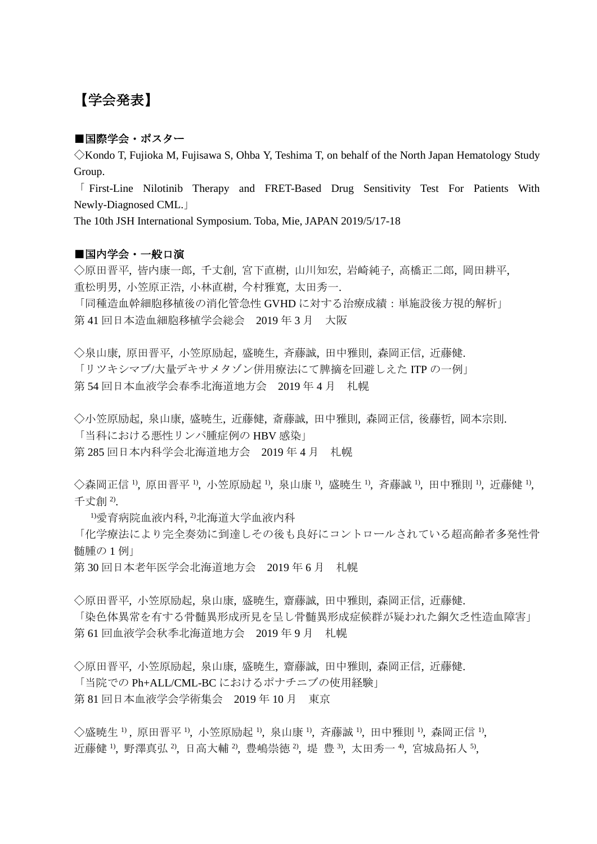# 【学会発表】

#### ■国際学会・ポスター

◇Kondo T, Fujioka M, Fujisawa S, Ohba Y, Teshima T, on behalf of the North Japan Hematology Study Group.

「 First-Line Nilotinib Therapy and FRET-Based Drug Sensitivity Test For Patients With Newly-Diagnosed CML.」

The 10th JSH International Symposium. Toba, Mie, JAPAN 2019/5/17-18

#### ■国内学会・一般口演

◇原田晋平, 皆内康一郎, 千丈創, 宮下直樹, 山川知宏, 岩崎純子, 高橋正二郎, 岡田耕平, 重松明男, 小笠原正浩, 小林直樹, 今村雅寛, 太田秀一.

「同種造血幹細胞移植後の消化管急性 GVHD に対する治療成績:単施設後方視的解析」 第 41 回日本造血細胞移植学会総会 2019 年 3 月 大阪

◇泉山康, 原田晋平, 小笠原励起, 盛暁生, 斉藤誠, 田中雅則, 森岡正信, 近藤健. 「リツキシマブ/大量デキサメタゾン併用療法にて脾摘を回避しえた ITP の一例」 第 54 回日本血液学会春季北海道地方会 2019 年 4 月 札幌

◇小笠原励起, 泉山康, 盛暁生, 近藤健, 斎藤誠, 田中雅則, 森岡正信, 後藤哲, 岡本宗則. 「当科における悪性リンパ腫症例の HBV 感染」

第 285 回日本内科学会北海道地方会 2019 年 4 月 札幌

◇森岡正信 <sup>1</sup>,原田晋平 <sup>1</sup>,小笠原励起 <sup>1</sup>,泉山康 <sup>1</sup>,盛暁生 <sup>1</sup>,斉藤誠 <sup>1</sup>,田中雅則 <sup>1</sup>,近藤健 <sup>1</sup>, 千丈創 2).

<sup>1)</sup>愛育病院血液内科, <sup>2)</sup>北海道大学血液内科

「化学療法により完全奏効に到達しその後も良好にコントロールされている超高齢者多発性骨 髄腫の 1 例」

第 30 回日本老年医学会北海道地方会 2019 年 6 月 札幌

◇原田晋平, 小笠原励起, 泉山康, 盛暁生, 齋藤誠, 田中雅則, 森岡正信, 近藤健.

「染色体異常を有する骨髄異形成所見を呈し骨髄異形成症候群が疑われた銅欠乏性造血障害」 第 61 回血液学会秋季北海道地方会 2019 年 9 月 札幌

◇原田晋平, 小笠原励起, 泉山康, 盛暁生, 齋藤誠, 田中雅則, 森岡正信, 近藤健. 「当院での Ph+ALL/CML-BC におけるポナチニブの使用経験」 第 81 回日本血液学会学術集会 2019 年 10 月 東京

◇盛暁生 <sup>1</sup>, 原田晋平 <sup>1</sup>, 小笠原励起 <sup>1</sup>, 泉山康 <sup>1</sup>, 斉藤誠 <sup>1</sup>, 田中雅則 <sup>1</sup>, 森岡正信 <sup>1</sup>, 近藤健 <sup>1</sup>, 野澤真弘 <sup>2</sup>, 日高大輔 <sup>2</sup>, 豊嶋崇徳 <sup>2</sup>, 堤 豊 <sup>3</sup>, 太田秀一 <sup>4</sup>, 宮城島拓人 5,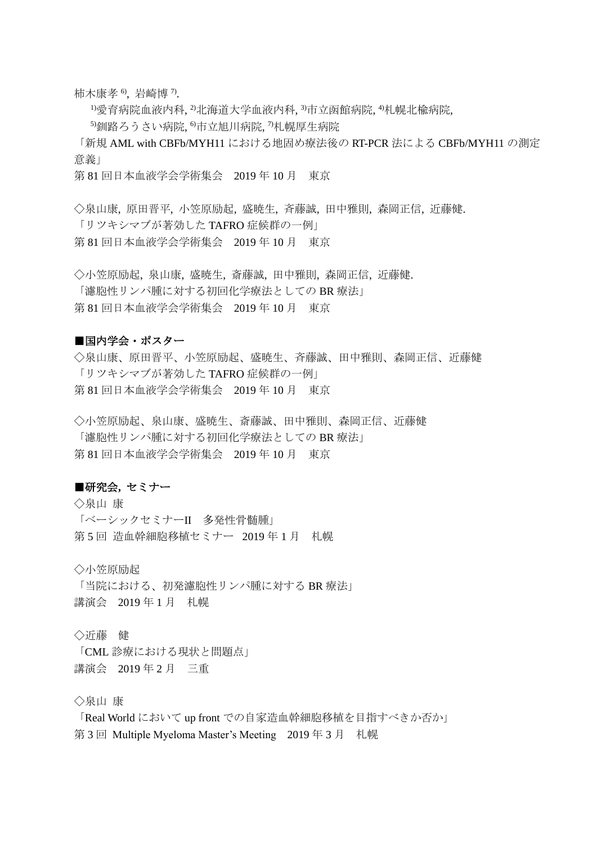柿木康孝 <sup>6</sup>,岩崎博 <sup>7)</sup>.

 $^{11}$ 愛育病院血液内科, $^{21}$ 北海道大学血液内科, $^{31}$ 市立函館病院, $^{41}$ 札幌北楡病院,

5)釧路ろうさい病院, 6市立旭川病院, 7札幌厚生病院

「新規 AML with CBFb/MYH11 における地固め療法後の RT-PCR 法による CBFb/MYH11 の測定 意義」

第 81 回日本血液学会学術集会 2019 年 10 月 東京

◇泉山康, 原田晋平, 小笠原励起, 盛暁生, 斉藤誠, 田中雅則, 森岡正信, 近藤健. 「リツキシマブが著効した TAFRO 症候群の一例」 第 81 回日本血液学会学術集会 2019 年 10 月 東京

◇小笠原励起, 泉山康, 盛暁生, 斎藤誠, 田中雅則, 森岡正信, 近藤健. 「濾胞性リンパ腫に対する初回化学療法としての BR 療法」 第 81 回日本血液学会学術集会 2019 年 10 月 東京

#### ■国内学会・ポスター

◇泉山康、原田晋平、小笠原励起、盛暁生、斉藤誠、田中雅則、森岡正信、近藤健 「リツキシマブが著効した TAFRO 症候群の一例」 第 81 回日本血液学会学術集会 2019 年 10 月 東京

◇小笠原励起、泉山康、盛暁生、斎藤誠、田中雅則、森岡正信、近藤健 「濾胞性リンパ腫に対する初回化学療法としての BR 療法」 第 81 回日本血液学会学術集会 2019 年 10 月 東京

## ■研究会**,** セミナー

◇泉山 康 「ベーシックセミナーII 多発性骨髄腫」 第5回 造血幹細胞移植セミナー 2019年1月 札幌

◇小笠原励起

「当院における、初発濾胞性リンパ腫に対する BR 療法」 講演会 2019 年 1 月 札幌

◇近藤 健

「CML 診療における現状と問題点」 講演会 2019 年 2 月 三重

◇泉山 康

「Real World において up front での自家造血幹細胞移植を目指すべきか否か」 第 3 回 Multiple Myeloma Master's Meeting 2019 年 3 月 札幌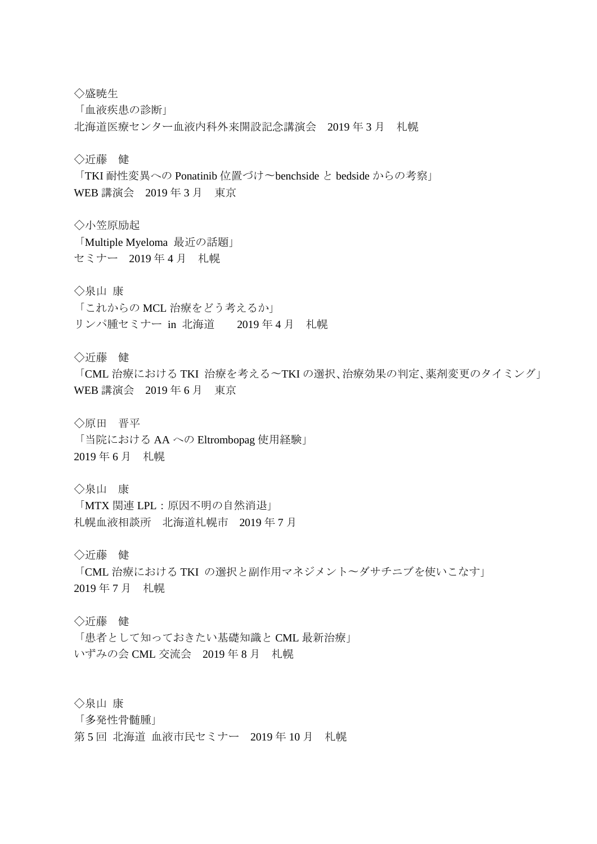◇盛暁生

「血液疾患の診断」

北海道医療センター血液内科外来開設記念講演会 2019 年 3 月 札幌

◇近藤 健

「TKI 耐性変異への Ponatinib 位置づけ〜benchside と bedside からの考察」 WEB 講演会 2019 年 3 月 東京

◇小笠原励起 「Multiple Myeloma 最近の話題」

セミナー 2019 年 4 月 札幌

◇泉山 康

「これからの MCL 治療をどう考えるか」 リンパ腫セミナー in 北海道 2019 年 4 月 札幌

◇近藤 健

「CML 治療における TKI 治療を考える〜TKI の選択、治療効果の判定、薬剤変更のタイミング」 WEB 講演会 2019 年 6 月 東京

◇原田 晋平

「当院における AA への Eltrombopag 使用経験」 2019 年 6 月 札幌

◇泉山 康

「MTX 関連 LPL:原因不明の自然消退」 札幌血液相談所 北海道札幌市 2019 年 7 月

◇近藤 健

「CML 治療における TKI の選択と副作用マネジメント〜ダサチニブを使いこなす」 2019 年 7 月 札幌

◇近藤 健

「患者として知っておきたい基礎知識と CML 最新治療」 いずみの会 CML 交流会 2019 年 8 月 札幌

◇泉山 康

「多発性骨髄腫」

第 5 回 北海道 血液市民セミナー 2019 年 10 月 札幌